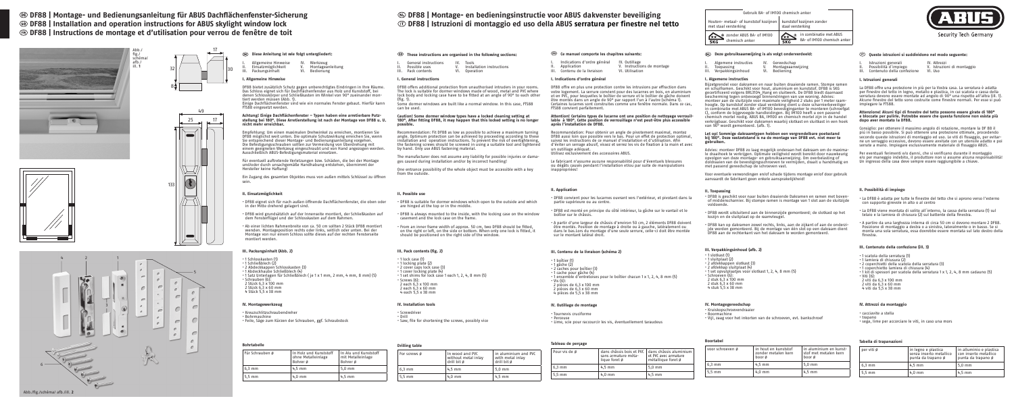**DF88 | Montage- und Bedienungsanleitung für ABUS Dachflächenfenster-Sicherung**

 **DF88 | Installation and operation instructions for ABUS skylight window lock**

# **DF88 | Montage- en bedieningsinstructie voor ABUS dakvenster beveiliging**  $\circledR$  **DF88 | Istruzioni di montaggio ed uso della ABUS serratura per finestre nel tetto**

# **DF88 | Instructions de montage et d'utilisation pour verrou de fenêtre de toit**

| Gebruik BA- of IM100 chemisch anker                                                        |                                                                     |  |  |  |
|--------------------------------------------------------------------------------------------|---------------------------------------------------------------------|--|--|--|
| Houten- metaal- of kunststof kozijnen   kunststof kozijnen zonder<br>met staal versterking | staal versterking                                                   |  |  |  |
| The zonder ABUS BA- of IM100<br>$\left( \frac{1}{K} \right)$<br>chemisch anker<br>SKG      | in combinatie met ABUS<br>. ®<br>BA- of IM100 chemisch anker<br>SKG |  |  |  |

(fig. 1). Some dormer windows are built like a normal window. In this case, FTS88 can be used

| $\overline{2}$<br>4                                                                                                                   | $\overline{3}$<br>$\bigcirc$<br>$\overline{a}$             | ù<br>$\mathcal{O}$<br>$\mathcal{O}$<br>$\epsilon$<br>$\epsilon$<br>÷<br>ø<br>o<br>ø<br>$\epsilon$<br>$\epsilon$ | - 5<br>è<br>$\epsilon$<br>$\epsilon$<br>$\subset$<br>$\epsilon$<br>$\overline{\phantom{a}}$<br>$\subset$<br>$\subset$<br>$\subset$<br>$\epsilon$<br>$\epsilon$<br>$\epsilon$ |
|---------------------------------------------------------------------------------------------------------------------------------------|------------------------------------------------------------|-----------------------------------------------------------------------------------------------------------------|------------------------------------------------------------------------------------------------------------------------------------------------------------------------------|
| <b>Alexandria</b><br><b>A</b> communication<br>6<br>$+$<br>$\langle \rangle$ processingly<br>$\frac{1}{\sqrt{\epsilon}}$ (summaring). | $\blacklozenge$ ) and the set of the $\blacktriangleright$ |                                                                                                                 | $\mathcal{O}_i$<br>$\epsilon$                                                                                                                                                |

17



30

32





| Abb./fig./schéma/ afb./ill. 2 |  |  |  |
|-------------------------------|--|--|--|
|-------------------------------|--|--|--|

| @         |                                       | These instructions are organised in the following sections: |                                    |  |
|-----------|---------------------------------------|-------------------------------------------------------------|------------------------------------|--|
| ۱.<br>ΙΙ. | General instructions<br>Possible uses | IV.                                                         | Tools<br>Installation instructions |  |

III. Pack contents VI. Operation

# **I. General instructions**

DF88 offers additional protection from unauthorised intruders in your rooms. The lock is suitable for dormer windows made of wood, metal and PVC where lock body and locking case have to be fitted at an angle of 90° to each other

### **Caution! Some dormer window types have a locked cleaning setting at 180°. After fitting DF88, it may happen that this locked setting is no longer possible.**

**Drilling table** For screws ø

- Indications d'ordre général IV. Outillage<br>Annlication V. Instruction
	- II. Sumage<br>V. Instructions de montage
- III. Contenu de la livraison VI. Utilisation

Recommendation: Fit DF88 as low as possible to achieve a maximum turning angle. Optimum protection can be achieved by proceeding according to these installation and operation instructions. To prevent the risk of overtightening, the fastening screws should be screwed in using a suitable tool and tightened by hand. Only use ABUS fastening material.

The manufacturer does not assume any liability for possible injuries or dama- ges caused during installation and/or by incorrect handling!

One entrance possibility of the whole object must be accessible with a key from the outside.

### **II. Possible use**

• DF88 is suitable for dormer windows which open to the outside and which are hinged at the top or in the middle.

• DF88 is always mounted to the inside, with the locking case on the window casement and the lock case on the frame.

• From an inner frame width of approx. 50 cm, two DF88 should be fitted, on the right or left, on the side or bottom. When only one lock is fitted, it should be positioned on the right side of the window.

### **III. Pack contents (fig. 2)**

- 
- 
- 

- $\cdot$  1 cache pour gâche  $(4)$
- -
	- 2 pièces de 6,3 x 60 mm
- 4 pièces de 5,5 x 38 mm
- Tournevis cruciforme • Perceuse
- 1 boîtier (1)  $\cdot$  1 gâche  $(2)$

• 1 lock case (1) • 1 locking plate (2) • 2 cover caps lock case (3) • 1 cover locking plate (4)  $\cdot$  1 set shims for lock case 1 each 1, 2, 4, 8 mm (5) 2 each 6,3 x 100 mm 2 each 6,3 x 60 mm

• Screws (6):

# 4 each 5,5 x 38 mm



• Screwdriver • Drill • Saw, file for shortening the screws, possibly vice

6,3 mm 4,5 mm 5,0 mm 5,5 mm 4,0 mm 4,5 mm

# **Ce manuel comporte les chapitres suivants:**

**I. Indications d'ordre général**

DF88 offre en plus une protection contre les intrusions par effraction dans votre logement. La serrure convient pour des lucarnes en bois, en aluminium et en PVC, pour lesquelles le boîtier de serrure et le boîtier de gâche doivent être montés dans un angle de 90° par rapport l'un à l'autre (schéma 1). Certaines lucarnes sont construites comme une fenêtre normale. Dans ce cas,

> Advies: monteer DF88 zo laag mogelijk onderaan het dakraam om de maxima le draaihoek te verkrijgen. Optimale veiligheid wordt bereikt door nauwkeurig opvolgen van deze montage- en gebruiksaanwijzing. Om overbelasting of doldraaien van de bevestigingsschroeven te vermijden, draait u handmatig en met passend gereedschap de schroeven vast.

FTS88 convient parfaitement.

# **Attention! Certains types de lucarne ont une position de nettoyage verrouil- lable à 180°. Cette position de verrouillage n'est peut-être plus accessible**

- ende Dakramen en ramen met bovenof middenscharnier. Bij stompe ramen is montage van 1 slot aan de sluitzijde voldoende.
- DF88 wordt uitsluitend aan de binnenzijde gemonteerd; de slotkast op het kozijn en de sluitplaat op de raamvleugel.
- DF88 kan op dakramen zowel rechts, links, aan de zijkant of aan de onderzi- jde worden gemonteerd. Bij de montage van één slot op een dakraam dient DF88 aan de rechterkant van het dakraam te worden gemonteerd.

**après l'installation de DF88.**

Recommandation: Pour obtenir un angle de pivotement maximal, montez DF88 aussi loin que possible vers le bas. Pour un effet de protection optimal, suivez les instructions de ce manuel d'installation et d'utilisation. Afin d'éviter un serrage abusif, vissez et serrez les vis de fixation à la main et avec

- $\cdot$  Kruiskopschroevendraaie
- Boormachine
- Vijl, zaag voor het inkorten van de schroeven, evt. bankschroef

|                                                       |                                                         | Tableau de perçage |
|-------------------------------------------------------|---------------------------------------------------------|--------------------|
| In wood and PVC<br>without metal inlay<br>drill bit ø | in aluminium and PVC<br>with metal inlay<br>drill bit ø | Pour vis de ø      |

- 
- I. Istruzioni generali IV. Attrezzi II. Possibilità d'impiego V. Istruzioni di montaggio
- Contenuto della confezione

un outillage adéquat.

# Utilisez exclusivement des accessoires ABUS.

Le fabricant n'assume aucune responsabilité pour d'éventuels blessures ou dégâts causés pendant l'installation et/ou par suite de manipulations

• DF88 convient pour les lucarnes ouvrant vers l'extérieur, et pivotant d

inappropriées!

**II. Application**

partie supérieure ou au centre.

• DF88 est monté en principe du côté intérieur, la gâche sur le vantail et le

boîtier sur le châssis.

• A partir d'une largeur de châssis d'environ 50 cm, 2 éléments DF88 doivent être montés. Position de montage à droite ou à gauche, latéralement ou dans le bas.Lors du montage d'une seule serrure, celle-ci doit être montée

sur le montant latéral droit. **III. Contenu de la livraison (schéma 2)**

- 2 caches pour boîtier (3)
- 
- $\cdot$  Vis (6)
- 2 pièces de 6,3 x 100 mm
- 
- 

| . Tournevis cruciforme |  |                                      |  |
|------------------------|--|--------------------------------------|--|
| · Perceuse             |  |                                      |  |
|                        |  | · Lime, scie pour raccourcir les vis |  |
|                        |  |                                      |  |

• 1 ensemble d'entretoises pour le boîtier chacun 1 x 1, 2, 4, 8 mm (5)

# , éventuellement taraudeus

# **IV. Outillage de montage**

- $\cdot$  Viti  $(6)$
- 2 viti da 6,3 x 60 mm
- 4 viti da 5,5 x 38 mm
- 

- cacciavite a stella
- $•$  tranano

I. Allgemeine Hinweise IV. Werkzeug Montageanleitung Redienung

| iabicau uc peitage |                                                                                           |                                            |
|--------------------|-------------------------------------------------------------------------------------------|--------------------------------------------|
| Pour vis de ø      | dans châssis bois et PVC   dans châssis aluminium<br>sans armature méta-<br>lique foret ø | et PVC avec armature<br>métallique foret ø |
| $6.3$ mm           | $4.5$ mm                                                                                  | $5.0$ mm                                   |
| $5.5$ mm           | $4.0$ mm                                                                                  | $4.5$ mm                                   |

# **Deze gebruiksaanwijzing is als volgt onderverdeeld:**

| Algemene instructies | Gereedscha |
|----------------------|------------|
|                      |            |
| Toenaccing           | Montageas  |

- III. Verpakkingsinhoud
- V. Montageaanwijzing<br>VI. Bediening

# **I. Algemene instructies**

Bijzetgrendel voor dakramen en naar buiten draaiende ramen. Stompe ramen en schuiframen. Geschikt voor hout, aluminium en kunststof. DF88 is SKG gecertificeerd volgens BRL3104\_Hang en sluitwerk. De DF88 biedt daarnaast bescherming tegen onbevoegd binnendringen van uw woning. Advies: monteer aan de sluitzijde voor maximale veiligheid 2 stuks per 1 meter raamhoogte. Op kunststof zonder staal versteking dient u deze scharnierbeveiliger in combinatie met ABUS BA- of IM100 bevestiginganker te monteren (schroefgat C), conform de bijgevoegde handleidingen. Bij IM100 heeft u een passend chemisch mortel nodig. ABUS BA, IM100 en chemisch mortel zijn in de handel verkrijgbaar. Geschikt voor dakramen waarbij slotkast en sluitkast in een hoek van 90° wordt gemonteerd. (afb. 1).

- 1 Schlosskasten (1)
- 1 Schließblech (2)
- 2 Abdeckkappen Schlosskasten (3)
- 1 Abdeckhaube Schließblech (4)
- 1 Satz Unterlagen für Schließblech ( je 1 x 1 mm, 2 mm, 4 mm, 8 mm) (5) • Schrauben (6):
- 2 Stück 6.3 x 100 mm
- 2 Stück 6,3 x 60 mm
- $4$  Stück 5,5 x 38 mm

### **Let op! Sommige dakraamtypen hebben een vergrendelbare poetsstand bij 180°. Deze vastzetstand is na de montage van DF88 evt. niet meer te gebruiken.**

Voor eventuele verwondingen en/of schade tijdens montage en/of door gebruik aanvaardt de fabrikant geen enkele aansprakelijkheid!

|         | II. Toepassing                                                                                                                                                |  |
|---------|---------------------------------------------------------------------------------------------------------------------------------------------------------------|--|
| dans la | · DF88 is geschikt voor naar buiten draaie<br>and see that all a security and the security of the security of the second contract of the second second to the |  |

# **III. Verpakkingsinhoud (afb. 2)**

- 1 slotkast (1)
- 1 sluitplaat (2)
- 2 afdekkappen slotkast (3)
- 2 afdekkap sluitplaat (4)
- 1 set opvulplaatjes voor slotkast 1, 2, 4, 8 mm (5)
- Schroeven (6):
- 2 stuk 6,3 x 100 mm 2 stuk  $6.3 \times 60$  mm
- 4 stuk 5,5 x 38 mm

# **IV. Montagegereedschap**

**Boortabel**

| voor schroeven ø | in hout en kunststof<br>zonder metalen kern<br>boor ø | l in aluminium en kunst-<br>stof met metalen kern<br>boor ø |
|------------------|-------------------------------------------------------|-------------------------------------------------------------|
| $6.3 \text{ mm}$ | $4.5$ mm                                              | $5,0$ mm                                                    |
| $5.5 \text{ mm}$ | $4.0$ mm                                              | 4.5 mm                                                      |

# **Queste istruzioni si suddividono nel modo seguente:**

# **I. Istruzioni generali**

La DF88 offre una protezione in più per la Vostra casa. La serratura è adatta per finestre del tetto in legno, metallo e plastica, in cui scatola e cassa della<br>serratura devono essere montate ad angolo di 90º una rispetto all'altra (ill. 1) serratura devono essere montate ad angolo di 90° una rispetto all'altra (ill. 1). Alcune finestre del tetto sono costruite come finestre normali. Per esse si può impiegare la FTS88.

# **Attenzione! Alcuni tipi di finestre del tetto possono essere girate di 180°**

# **e bloccate per pulirle. Potrebbe essere che questa funzione non esista più dopo aver montato la DF88.**

Consiglio: per ottenere il massimo angolo di rotazione, montare la DF 88 il piú in basso possibile. Si può ottenere una protezione ottimale, procedendo secondo queste istruzioni di montaggio ed uso. Le viti di fissaggio, per evitarne un serraggio eccessivo, devono essere avvitate con un utensile adatto e poi

|                | ne un serraggio eccessivo, devono essere avvitate con un utensile adat<br>serrate a mano. Impiegare esclusivamente materiale di fissaggio ABUS.  |
|----------------|--------------------------------------------------------------------------------------------------------------------------------------------------|
| $\overline{a}$ | Per eventuali ferimenti e/o danni, che si verificano durante il montagg<br>e/o per maneggio indebito, il produttore non si assume alcuna responi |
|                | lla ingresso della casa deve sempre essere raggiungibile a chiave                                                                                |

Per eventuali ferimenti e/o danni, che si verificano durante il montaggio e/o per maneggio indebito, il produttore non si assume alcuna responsabilità! Un ingresso della casa deve sempre essere raggiungibile a chiave.

# **II. Possibilità di impiego**

- La DF88 è adatta per tutte le finestre del tetto che si aprono verso l'esterno con supporto girevole in alto o al centro
- La DF88 viene montata di solito all´interno, la cassa della serratura (1) sul telaio e la lamiera di chiusura (2) sul battente della finestra.
- A partire da una larghezza interna di circa 50 cm si devono montare 2 DF88. Posizione di montaggio a destra o a sinistra, lateralmente o in basso. Se si monta una sola serratura, essa dovrebbe essere montata sul lato destro della finestra.

## **III. Contenuto della confezione (ill. 3)**

- 1 scatola della serratura (1)
- 1 lamiera di chiusura (2)
- 2 coperchietti della scatola della serratura (3)
- 1 coperchietto lamiera di chiusura (4)
- 1 kit di spessori per scatola della serratura 1 x 1, 2, 4, 8 mm cadauno (5)
- 
- 2 viti da 6,3 x 100 mm
- 
- 

# **IV. Attrezzi da montaggio**

- 
- 
- 

| zione in più per la Vostra casa. La s <sub>'</sub> |  |  |  |
|----------------------------------------------------|--|--|--|
| legno, metallo e plastica, in cui sca              |  |  |  |
| montate ad angolo di 90° una risc                  |  |  |  |
| . Samu salah di kacamatan di Kabupatén Grégor      |  |  |  |

# • sega, lime per accorciare le viti, in caso una mors

# **Tabella di trapanazioni**

| per viti ø       | in legno e plastica<br>senza inserto metallico<br>punta da trapano ø | in alluminio e plastica<br>con inserto metallico<br>punta da trapano ø |  |  |
|------------------|----------------------------------------------------------------------|------------------------------------------------------------------------|--|--|
| $6.3$ mm         | $4.5$ mm                                                             | $5.0$ mm                                                               |  |  |
| $5.5 \text{ mm}$ | $4.0$ mm                                                             | $4.5$ mm                                                               |  |  |

Security Tech Germany

| (DE)      | Diese Anleitung ist wie folgt untergliedert;                |                 |                                     |
|-----------|-------------------------------------------------------------|-----------------|-------------------------------------|
| ΙΙ.<br>Ш. | Allgemeine Hinweise<br>Einsatzmöglichkeit<br>Packungsinhalt | IV.<br>V.<br>۷ı | Werkzeug<br>Montageanl<br>Bedienung |

# **I. Allgemeine Hinweise**

DF88 bietet zusätzlich Schutz gegen unberechtigtes Eindringen in Ihre Räume. Das Schloss eignet sich für Dachflächenfenster aus Holz und Kunststoff, bei denen Schlosskörper und Schließkasten im Winkel von 90° zueinander montiert werden mijssen (Abb. 1). Einige Dachflächenfenster sind wie ein normales Fenster gebaut. Hierfür kann

FTS88 eingesetzt werden.

# **Achtung! Einige Dachflächenfenster – Typen haben eine arretierbare Putz-stellung bei 180°. Diese Arretierstellung ist nach der Montage von DF88 u. U. nicht mehr erreichbar.**

Empfehlung: Um einen maximalen Drehwinkel zu erreichen, montieren Sie DF88 möglichst weit unten. Die optimale Schutzwirkung erreichen Sie, wenn Sie entsprechend dieser Montage- und Bedienungsanleitung vorgehen. Die Befestigungsschrauben sollten zur Vermeidung von Überdrehung mit einem geeigneten Werkzeug eingeschraubt und von Hand angezogen werden. Ausschließlich ABUS-Befestigungsmaterial einsetzen.

Für eventuell auftretende Verletzungen bzw. Schäden, die bei der Montage und/oder durch unsachgemäße Handhabung entstehen, übernimmt der Hersteller keine Haftung!

Ein Zugang des gesamten Objektes muss von außen mittels Schlüssel zu öffnen sein.

# **II. Einsatzmöglichkeit**

• DF88 eignet sich für nach außen öffnende Dachflächenfenster, die oben oder in der Mitte drehend gelagert sind.

• DF88 wird grundsätzlich auf der Innenseite montiert, der Schließkasten auf dem Fensterflügel und der Schlosskasten auf dem Rahmen.

• Ab einer lichten Rahmenbreite von ca. 50 cm sollten 2 Stück DF88 montiert wenden. Montageposition rechts oder links, seitlich oder unten. Bei der Montage von nur einem Schloss sollte dieses auf der rechten Fensterseite montiert werden.

### **III. Packungsinhalt (Abb. 2)**

## **IV. Montagewerkzeug**

• Kreuzschlitzschraubendreher

• Bohrmaschine

|  | • Bohrmaschine | · Feile, Säge zum Kürzen der Schrauben, ggf. Schraubstock |  |  |  |  |  |  |  |
|--|----------------|-----------------------------------------------------------|--|--|--|--|--|--|--|
|  |                |                                                           |  |  |  |  |  |  |  |
|  |                |                                                           |  |  |  |  |  |  |  |

| <b>Bohrtabelle</b> |                                              |                                              |  |  |  |  |  |
|--------------------|----------------------------------------------|----------------------------------------------|--|--|--|--|--|
| Für Schrauben ø    | In Holz und Kunststoff<br>ohne Metalleinlage | l In Alu und Kunststoff<br>mit Metalleinlage |  |  |  |  |  |

Bohrer Ø

Bohrer Ø

 $4.5$  mm

- 
- 

|  | $6.3 \text{ mm}$ | $4.5$ mm   | $5.0$ mm |
|--|------------------|------------|----------|
|  | 5.5 mm           | $\mu$ 0 mm | $L$ 5 mm |